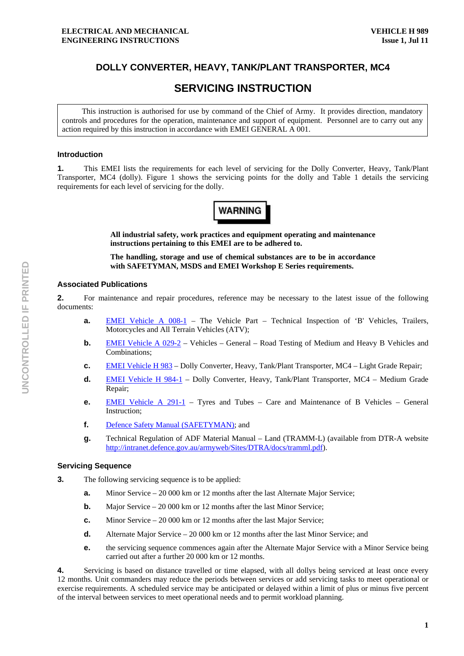# **DOLLY CONVERTER, HEAVY, TANK/PLANT TRANSPORTER, MC4**

# **SERVICING INSTRUCTION**

This instruction is authorised for use by command of the Chief of Army. It provides direction, mandatory controls and procedures for the operation, maintenance and support of equipment. Personnel are to carry out any action required by this instruction in accordance with EMEI GENERAL A 001.

# **Introduction**

**1.** This EMEI lists the requirements for each level of servicing for the Dolly Converter, Heavy, Tank/Plant Transporter, MC4 (dolly). Figure 1 shows the servicing points for the dolly and Table 1 details the servicing requirements for each level of servicing for the dolly.



**All industrial safety, work practices and equipment operating and maintenance instructions pertaining to this EMEI are to be adhered to.** 

**The handling, storage and use of chemical substances are to be in accordance with SAFETYMAN, MSDS and EMEI Workshop E Series requirements.** 

### **Associated Publications**

**2.** For maintenance and repair procedures, reference may be necessary to the latest issue of the following documents:

- **a.** EMEI Vehicle A 008-1 The Vehicle Part Technical Inspection of 'B' Vehicles, Trailers, Motorcycles and All Terrain Vehicles (ATV);
- **b.** EMEI Vehicle A 029-2 Vehicles General Road Testing of Medium and Heavy B Vehicles and Combinations;
- **c.** EMEI Vehicle H 983 Dolly Converter, Heavy, Tank/Plant Transporter, MC4 Light Grade Repair;
- **d.** EMEI Vehicle H 984-1 Dolly Converter, Heavy, Tank/Plant Transporter, MC4 Medium Grade Repair;
- **e.** EMEI Vehicle A 291-1 Tyres and Tubes Care and Maintenance of B Vehicles General Instruction;
- **f.** Defence Safety Manual (SAFETYMAN); and
- **g.** Technical Regulation of ADF Material Manual Land (TRAMM-L) (available from DTR-A website http://intranet.defence.gov.au/armyweb/Sites/DTRA/docs/tramml.pdf).

#### **Servicing Sequence**

- **3.** The following servicing sequence is to be applied:
	- **a.** Minor Service 20 000 km or 12 months after the last Alternate Major Service;
	- **b.** Major Service 20 000 km or 12 months after the last Minor Service;
	- **c.** Minor Service 20 000 km or 12 months after the last Major Service;
	- **d.** Alternate Major Service 20 000 km or 12 months after the last Minor Service; and
	- **e. the servicing sequence commences again after the Alternate Major Service with a Minor Service being** carried out after a further 20 000 km or 12 months.

**4.** Servicing is based on distance travelled or time elapsed, with all dollys being serviced at least once every 12 months. Unit commanders may reduce the periods between services or add servicing tasks to meet operational or exercise requirements. A scheduled service may be anticipated or delayed within a limit of plus or minus five percent of the interval between services to meet operational needs and to permit workload planning.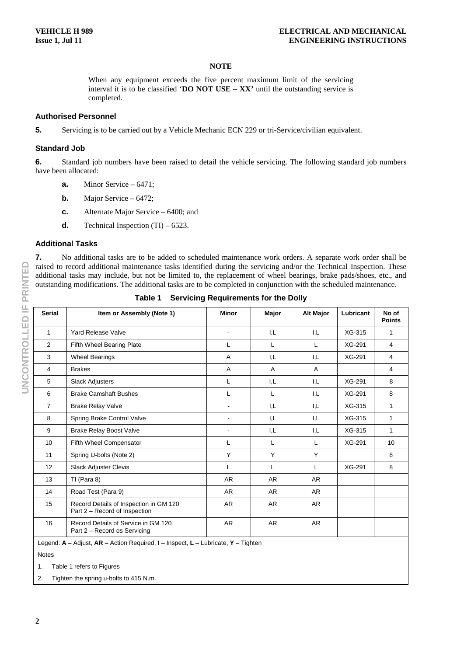### **NOTE**

When any equipment exceeds the five percent maximum limit of the servicing interval it is to be classified '**DO NOT USE – XX'** until the outstanding service is completed.

# **Authorised Personnel**

**5.** Servicing is to be carried out by a Vehicle Mechanic ECN 229 or tri-Service/civilian equivalent.

#### **Standard Job**

**6.** Standard job numbers have been raised to detail the vehicle servicing. The following standard job numbers have been allocated:

- **a.** Minor Service 6471;
- **b.** Major Service 6472;
- **c.** Alternate Major Service 6400; and
- **d.** Technical Inspection  $(TI) 6523$ .

# **Additional Tasks**

**7.** No additional tasks are to be added to scheduled maintenance work orders. A separate work order shall be raised to record additional maintenance tasks identified during the servicing and/or the Technical Inspection. These additional tasks may include, but not be limited to, the replacement of wheel bearings, brake pads/shoes, etc., and outstanding modifications. The additional tasks are to be completed in conjunction with the scheduled maintenance.

| <b>Serial</b>  | Item or Assembly (Note 1)                                               | <b>Minor</b>             | Major     | <b>Alt Major</b> | Lubricant | No of<br><b>Points</b> |
|----------------|-------------------------------------------------------------------------|--------------------------|-----------|------------------|-----------|------------------------|
| 1              | <b>Yard Release Valve</b>                                               | $\blacksquare$           | I,L       | I.L              | XG-315    | 1                      |
| 2              | Fifth Wheel Bearing Plate                                               | L                        | L         | L                | XG-291    | 4                      |
| 3              | <b>Wheel Bearings</b>                                                   | A                        | I.L       | I,L              | XG-291    | 4                      |
| 4              | <b>Brakes</b>                                                           | A                        | A         | A                |           | 4                      |
| 5              | Slack Adjusters                                                         | L                        | I,L       | I,L              | XG-291    | 8                      |
| 6              | <b>Brake Camshaft Bushes</b>                                            | L                        | L         | I,L              | XG-291    | 8                      |
| $\overline{7}$ | <b>Brake Relay Valve</b>                                                | $\blacksquare$           | I,L       | I,L              | XG-315    | 1                      |
| 8              | Spring Brake Control Valve                                              | $\overline{\phantom{0}}$ | I,L       | I,L              | XG-315    | 1                      |
| 9              | <b>Brake Relay Boost Valve</b>                                          | $\blacksquare$           | I,L       | I,L              | XG-315    | 1                      |
| 10             | Fifth Wheel Compensator                                                 | L                        | L         | L                | XG-291    | 10                     |
| 11             | Spring U-bolts (Note 2)                                                 | Y                        | Y         | Υ                |           | 8                      |
| 12             | Slack Adjuster Clevis                                                   | L                        | L         | L                | XG-291    | 8                      |
| 13             | TI (Para 8)                                                             | AR                       | <b>AR</b> | AR               |           |                        |
| 14             | Road Test (Para 9)                                                      | AR                       | <b>AR</b> | <b>AR</b>        |           |                        |
| 15             | Record Details of Inspection in GM 120<br>Part 2 - Record of Inspection | AR                       | <b>AR</b> | AR               |           |                        |
| 16             | Record Details of Service in GM 120<br>Part 2 - Record os Servicing     | AR                       | AR.       | AR               |           |                        |

**Table 1 Servicing Requirements for the Dolly** 

Legend: **A** – Adjust, **AR** – Action Required, **I** – Inspect, **L** – Lubricate, **Y** – Tighten

Notes

1. Table 1 refers to Figures

2. Tighten the spring u-bolts to 415 N.m.